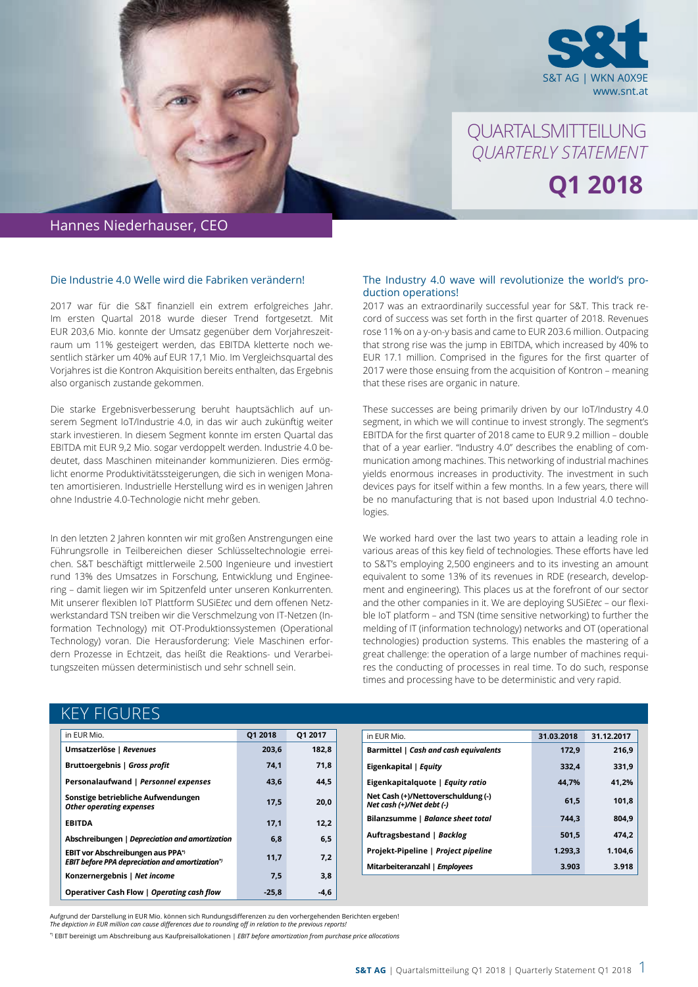

QUARTALSMITTEILUNG *QUARTERLY STATEMENT* **Q1 2018**

### Hannes Niederhauser, CEO

#### Die Industrie 4.0 Welle wird die Fabriken verändern!

2017 war für die S&T finanziell ein extrem erfolgreiches Jahr. Im ersten Quartal 2018 wurde dieser Trend fortgesetzt. Mit EUR 203,6 Mio. konnte der Umsatz gegenüber dem Vorjahreszeitraum um 11% gesteigert werden, das EBITDA kletterte noch wesentlich stärker um 40% auf EUR 17,1 Mio. Im Vergleichsquartal des Vorjahres ist die Kontron Akquisition bereits enthalten, das Ergebnis also organisch zustande gekommen.

Die starke Ergebnisverbesserung beruht hauptsächlich auf unserem Segment IoT/Industrie 4.0, in das wir auch zukünftig weiter stark investieren. In diesem Segment konnte im ersten Quartal das EBITDA mit EUR 9,2 Mio. sogar verdoppelt werden. Industrie 4.0 bedeutet, dass Maschinen miteinander kommunizieren. Dies ermöglicht enorme Produktivitätssteigerungen, die sich in wenigen Monaten amortisieren. Industrielle Herstellung wird es in wenigen Jahren ohne Industrie 4.0-Technologie nicht mehr geben.

In den letzten 2 Jahren konnten wir mit großen Anstrengungen eine Führungsrolle in Teilbereichen dieser Schlüsseltechnologie erreichen. S&T beschäftigt mittlerweile 2.500 Ingenieure und investiert rund 13% des Umsatzes in Forschung, Entwicklung und Engineering – damit liegen wir im Spitzenfeld unter unseren Konkurrenten. Mit unserer flexiblen IoT Plattform SUSiE*tec* und dem offenen Netzwerkstandard TSN treiben wir die Verschmelzung von IT-Netzen (Information Technology) mit OT-Produktionssystemen (Operational Technology) voran. Die Herausforderung: Viele Maschinen erfordern Prozesse in Echtzeit, das heißt die Reaktions- und Verarbeitungszeiten müssen deterministisch und sehr schnell sein.

KEY FIGURES

#### The Industry 4.0 wave will revolutionize the world's production operations!

2017 was an extraordinarily successful year for S&T. This track record of success was set forth in the first quarter of 2018. Revenues rose 11% on a y-on-y basis and came to EUR 203.6 million. Outpacing that strong rise was the jump in EBITDA, which increased by 40% to EUR 17.1 million. Comprised in the figures for the first quarter of 2017 were those ensuing from the acquisition of Kontron – meaning that these rises are organic in nature.

These successes are being primarily driven by our IoT/Industry 4.0 segment, in which we will continue to invest strongly. The segment's EBITDA for the first quarter of 2018 came to EUR 9.2 million – double that of a year earlier. "Industry 4.0" describes the enabling of communication among machines. This networking of industrial machines yields enormous increases in productivity. The investment in such devices pays for itself within a few months. In a few years, there will be no manufacturing that is not based upon Industrial 4.0 technologies.

We worked hard over the last two years to attain a leading role in various areas of this key field of technologies. These efforts have led to S&T's employing 2,500 engineers and to its investing an amount equivalent to some 13% of its revenues in RDE (research, development and engineering). This places us at the forefront of our sector and the other companies in it. We are deploying SUSiE*tec* – our flexible IoT platform – and TSN (time sensitive networking) to further the melding of IT (information technology) networks and OT (operational technologies) production systems. This enables the mastering of a great challenge: the operation of a large number of machines requires the conducting of processes in real time. To do such, response times and processing have to be deterministic and very rapid.

| INET I IUUINEJ                                                        |         |         |                                                                 |            |            |
|-----------------------------------------------------------------------|---------|---------|-----------------------------------------------------------------|------------|------------|
| in EUR Mio.                                                           | 01 2018 | 01 2017 | in EUR Mio.                                                     | 31.03.2018 | 31.12.2017 |
| Umsatzerlöse   Revenues                                               | 203,6   | 182,8   | Barmittel   Cash and cash equivalents                           | 172.9      | 216,9      |
| Bruttoergebnis   Gross profit                                         | 74,1    | 71,8    | Eigenkapital   Equity                                           | 332.4      | 331,9      |
| Personalaufwand   Personnel expenses                                  | 43,6    | 44,5    | Eigenkapitalquote   Equity ratio                                | 44,7%      | 41,2%      |
| Sonstige betriebliche Aufwendungen<br><b>Other operating expenses</b> | 17,5    | 20,0    | Net Cash (+)/Nettoverschuldung (-)<br>Net cash (+)/Net debt (-) | 61,5       | 101,8      |
| <b>EBITDA</b>                                                         | 17,1    | 12,2    | Bilanzsumme   Balance sheet total                               | 744,3      | 804,9      |
| Abschreibungen   Depreciation and amortization                        | 6,8     | 6,5     | Auftragsbestand   Backlog                                       | 501,5      | 474,2      |
| EBIT vor Abschreibungen aus PPA*)                                     | 11,7    | 7,2     | Projekt-Pipeline   Project pipeline                             | 1.293,3    | 1.104,6    |
| <b>EBIT before PPA depreciation and amortization</b> <sup>*</sup>     |         |         | Mitarbeiteranzahl   Employees                                   | 3.903      | 3.918      |
| Konzernergebnis   Net income                                          | 7,5     | 3,8     |                                                                 |            |            |
| Operativer Cash Flow   Operating cash flow                            | $-25.8$ | $-4,6$  |                                                                 |            |            |

Aufgrund der Darstellung in EUR Mio. können sich Rundungsdifferenzen zu den vorhergehenden Berichten ergeben!<br>The depiction in EUR million can cause differences due to rounding off in relation to the previous reports!

\*) EBIT bereinigt um Abschreibung aus Kaufpreisallokationen *| EBIT before amortization from purchase price allocations*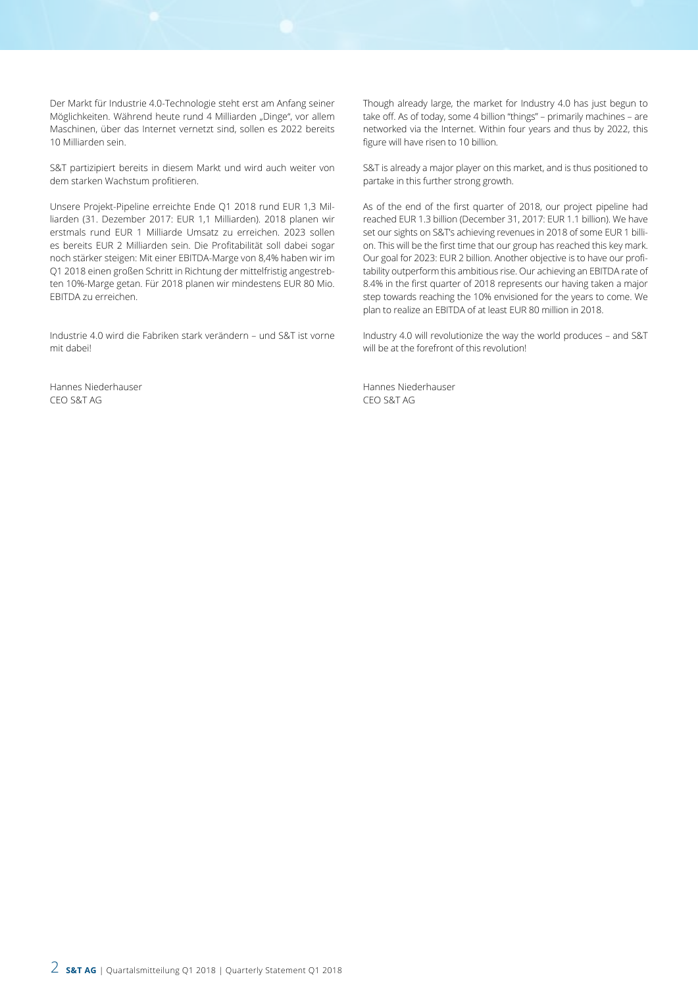Der Markt für Industrie 4.0-Technologie steht erst am Anfang seiner Möglichkeiten. Während heute rund 4 Milliarden "Dinge", vor allem Maschinen, über das Internet vernetzt sind, sollen es 2022 bereits 10 Milliarden sein.

S&T partizipiert bereits in diesem Markt und wird auch weiter von dem starken Wachstum profitieren.

Unsere Projekt-Pipeline erreichte Ende Q1 2018 rund EUR 1,3 Milliarden (31. Dezember 2017: EUR 1,1 Milliarden). 2018 planen wir erstmals rund EUR 1 Milliarde Umsatz zu erreichen. 2023 sollen es bereits EUR 2 Milliarden sein. Die Profitabilität soll dabei sogar noch stärker steigen: Mit einer EBITDA-Marge von 8,4% haben wir im Q1 2018 einen großen Schritt in Richtung der mittelfristig angestrebten 10%-Marge getan. Für 2018 planen wir mindestens EUR 80 Mio. EBITDA zu erreichen.

Industrie 4.0 wird die Fabriken stark verändern – und S&T ist vorne mit dabei!

Hannes Niederhauser CEO S&T AG

Though already large, the market for Industry 4.0 has just begun to take off. As of today, some 4 billion "things" – primarily machines – are networked via the Internet. Within four years and thus by 2022, this figure will have risen to 10 billion.

S&T is already a major player on this market, and is thus positioned to partake in this further strong growth.

As of the end of the first quarter of 2018, our project pipeline had reached EUR 1.3 billion (December 31, 2017: EUR 1.1 billion). We have set our sights on S&T's achieving revenues in 2018 of some EUR 1 billion. This will be the first time that our group has reached this key mark. Our goal for 2023: EUR 2 billion. Another objective is to have our profitability outperform this ambitious rise. Our achieving an EBITDA rate of 8.4% in the first quarter of 2018 represents our having taken a major step towards reaching the 10% envisioned for the years to come. We plan to realize an EBITDA of at least EUR 80 million in 2018.

Industry 4.0 will revolutionize the way the world produces – and S&T will be at the forefront of this revolution!

Hannes Niederhauser CEO S&T AG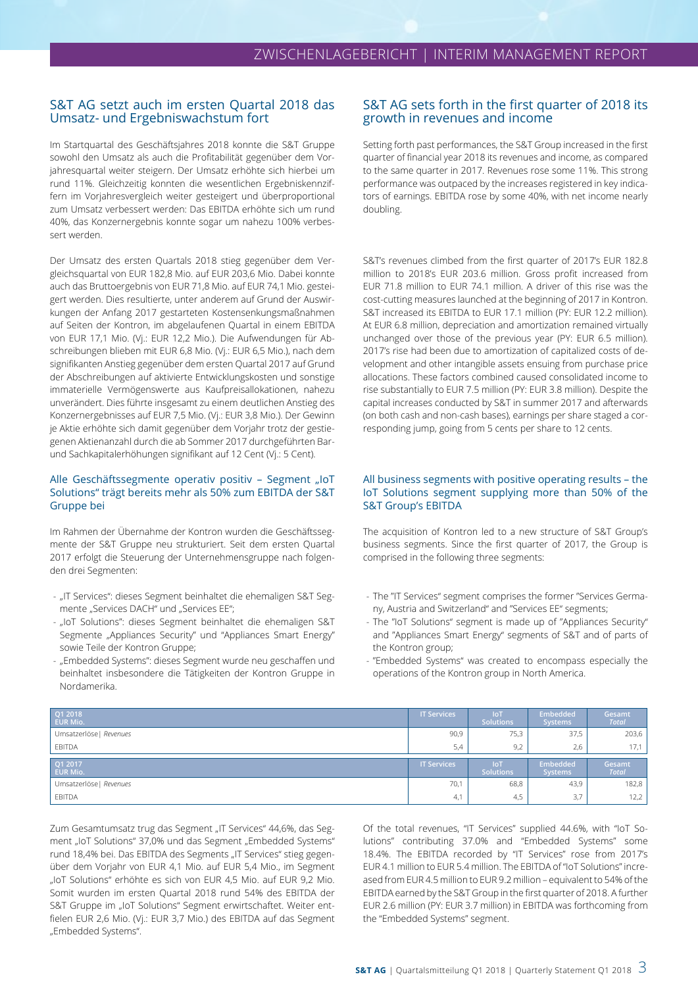#### S&T AG setzt auch im ersten Quartal 2018 das Umsatz- und Ergebniswachstum fort

Im Startquartal des Geschäftsjahres 2018 konnte die S&T Gruppe sowohl den Umsatz als auch die Profitabilität gegenüber dem Vorjahresquartal weiter steigern. Der Umsatz erhöhte sich hierbei um rund 11%. Gleichzeitig konnten die wesentlichen Ergebniskennziffern im Vorjahresvergleich weiter gesteigert und überproportional zum Umsatz verbessert werden: Das EBITDA erhöhte sich um rund 40%, das Konzernergebnis konnte sogar um nahezu 100% verbessert werden.

Der Umsatz des ersten Quartals 2018 stieg gegenüber dem Vergleichsquartal von EUR 182,8 Mio. auf EUR 203,6 Mio. Dabei konnte auch das Bruttoergebnis von EUR 71,8 Mio. auf EUR 74,1 Mio. gesteigert werden. Dies resultierte, unter anderem auf Grund der Auswirkungen der Anfang 2017 gestarteten Kostensenkungsmaßnahmen auf Seiten der Kontron, im abgelaufenen Quartal in einem EBITDA von EUR 17,1 Mio. (Vj.: EUR 12,2 Mio.). Die Aufwendungen für Abschreibungen blieben mit EUR 6,8 Mio. (Vj.: EUR 6,5 Mio.), nach dem signifikanten Anstieg gegenüber dem ersten Quartal 2017 auf Grund der Abschreibungen auf aktivierte Entwicklungskosten und sonstige immaterielle Vermögenswerte aus Kaufpreisallokationen, nahezu unverändert. Dies führte insgesamt zu einem deutlichen Anstieg des Konzernergebnisses auf EUR 7,5 Mio. (Vj.: EUR 3,8 Mio.). Der Gewinn je Aktie erhöhte sich damit gegenüber dem Vorjahr trotz der gestiegenen Aktienanzahl durch die ab Sommer 2017 durchgeführten Barund Sachkapitalerhöhungen signifikant auf 12 Cent (Vj.: 5 Cent).

#### Alle Geschäftssegmente operativ positiv - Segment "IoT Solutions" trägt bereits mehr als 50% zum EBITDA der S&T Gruppe bei

Im Rahmen der Übernahme der Kontron wurden die Geschäftssegmente der S&T Gruppe neu strukturiert. Seit dem ersten Quartal 2017 erfolgt die Steuerung der Unternehmensgruppe nach folgenden drei Segmenten:

- "IT Services": dieses Segment beinhaltet die ehemaligen S&T Segmente "Services DACH" und "Services EE";
- "IoT Solutions": dieses Segment beinhaltet die ehemaligen S&T Segmente "Appliances Security" und "Appliances Smart Energy" sowie Teile der Kontron Gruppe;
- "Embedded Systems": dieses Segment wurde neu geschaffen und beinhaltet insbesondere die Tätigkeiten der Kontron Gruppe in Nordamerika.

### S&T AG sets forth in the first quarter of 2018 its growth in revenues and income

Setting forth past performances, the S&T Group increased in the first quarter of financial year 2018 its revenues and income, as compared to the same quarter in 2017. Revenues rose some 11%. This strong performance was outpaced by the increases registered in key indicators of earnings. EBITDA rose by some 40%, with net income nearly doubling.

S&T's revenues climbed from the first quarter of 2017's EUR 182.8 million to 2018's EUR 203.6 million. Gross profit increased from EUR 71.8 million to EUR 74.1 million. A driver of this rise was the cost-cutting measures launched at the beginning of 2017 in Kontron. S&T increased its EBITDA to EUR 17.1 million (PY: EUR 12.2 million). At EUR 6.8 million, depreciation and amortization remained virtually unchanged over those of the previous year (PY: EUR 6.5 million). 2017's rise had been due to amortization of capitalized costs of development and other intangible assets ensuing from purchase price allocations. These factors combined caused consolidated income to rise substantially to EUR 7.5 million (PY: EUR 3.8 million). Despite the capital increases conducted by S&T in summer 2017 and afterwards (on both cash and non-cash bases), earnings per share staged a corresponding jump, going from 5 cents per share to 12 cents.

#### All business segments with positive operating results – the IoT Solutions segment supplying more than 50% of the S&T Group's EBITDA

The acquisition of Kontron led to a new structure of S&T Group's business segments. Since the first quarter of 2017, the Group is comprised in the following three segments:

- The "IT Services" segment comprises the former "Services Germany, Austria and Switzerland" and "Services EE" segments;
- The "IoT Solutions" segment is made up of "Appliances Security" and "Appliances Smart Energy" segments of S&T and of parts of the Kontron group;
- "Embedded Systems" was created to encompass especially the operations of the Kontron group in North America.

| Q1 2018<br>EUR Mio.        | <b>IT Services</b> | <b>IoT</b><br><b>Solutions</b> | Embedded<br><b>Systems</b> | Gesamt<br><b>Total</b> |
|----------------------------|--------------------|--------------------------------|----------------------------|------------------------|
| Umsatzerlöse   Revenues    | 90,9               | 75,3                           | 37,5                       | 203,6                  |
| <b>EBITDA</b>              | 5,4                | 9,2                            | 2,6                        | 17,1                   |
|                            |                    |                                |                            |                        |
| Q1 2017<br><b>EUR Mio.</b> | <b>IT Services</b> | <b>IoT</b><br><b>Solutions</b> | Embedded<br><b>Systems</b> | Gesamt<br><b>Total</b> |
| Umsatzerlöse   Revenues    | 70,1               | 68,8                           | 43,9                       | 182,8                  |

Zum Gesamtumsatz trug das Segment "IT Services" 44,6%, das Segment "IoT Solutions" 37,0% und das Segment "Embedded Systems" rund 18,4% bei. Das EBITDA des Segments "IT Services" stieg gegenüber dem Vorjahr von EUR 4,1 Mio. auf EUR 5,4 Mio., im Segment "IoT Solutions" erhöhte es sich von EUR 4,5 Mio. auf EUR 9,2 Mio. Somit wurden im ersten Quartal 2018 rund 54% des EBITDA der S&T Gruppe im "IoT Solutions" Segment erwirtschaftet. Weiter entfielen EUR 2,6 Mio. (Vj.: EUR 3,7 Mio.) des EBITDA auf das Segment "Embedded Systems".

Of the total revenues, "IT Services" supplied 44.6%, with "IoT Solutions" contributing 37.0% and "Embedded Systems" some 18.4%. The EBITDA recorded by "IT Services" rose from 2017's EUR 4.1 million to EUR 5.4 million. The EBITDA of "IoT Solutions" increased from EUR 4.5 million to EUR 9.2 million – equivalent to 54% of the EBITDA earned by the S&T Group in the first quarter of 2018. A further EUR 2.6 million (PY: EUR 3.7 million) in EBITDA was forthcoming from the "Embedded Systems" segment.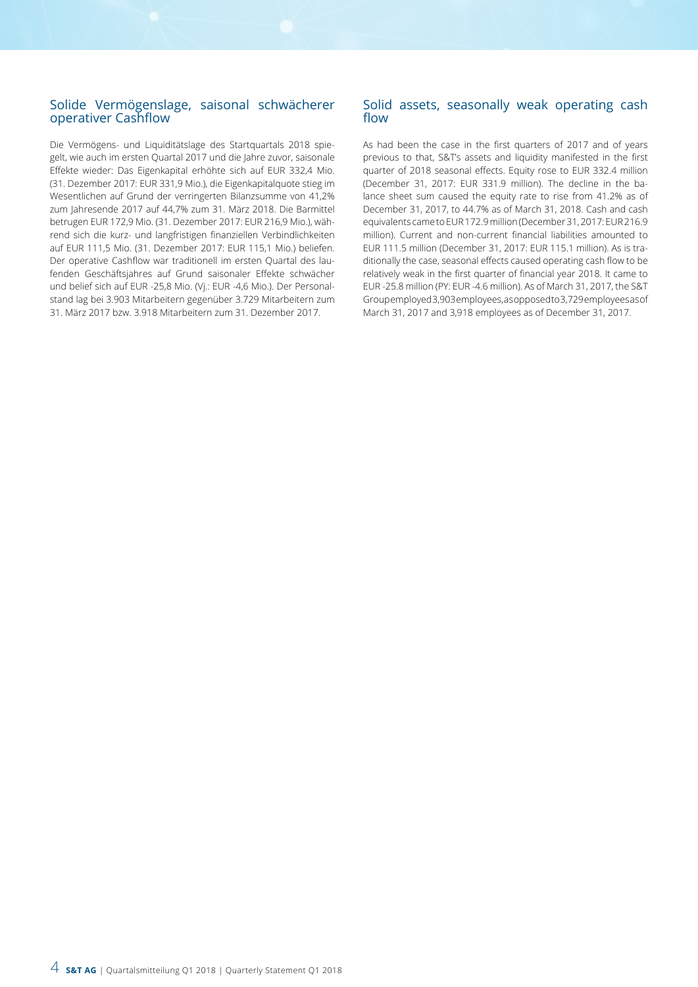### Solide Vermögenslage, saisonal schwächerer operativer Cashflow

Die Vermögens- und Liquiditätslage des Startquartals 2018 spiegelt, wie auch im ersten Quartal 2017 und die Jahre zuvor, saisonale Effekte wieder: Das Eigenkapital erhöhte sich auf EUR 332,4 Mio. (31. Dezember 2017: EUR 331,9 Mio.), die Eigenkapitalquote stieg im Wesentlichen auf Grund der verringerten Bilanzsumme von 41,2% zum Jahresende 2017 auf 44,7% zum 31. März 2018. Die Barmittel betrugen EUR 172,9 Mio. (31. Dezember 2017: EUR 216,9 Mio.), während sich die kurz- und langfristigen finanziellen Verbindlichkeiten auf EUR 111,5 Mio. (31. Dezember 2017: EUR 115,1 Mio.) beliefen. Der operative Cashflow war traditionell im ersten Quartal des laufenden Geschäftsjahres auf Grund saisonaler Effekte schwächer und belief sich auf EUR -25,8 Mio. (Vj.: EUR -4,6 Mio.). Der Personalstand lag bei 3.903 Mitarbeitern gegenüber 3.729 Mitarbeitern zum 31. März 2017 bzw. 3.918 Mitarbeitern zum 31. Dezember 2017.

#### Solid assets, seasonally weak operating cash flow

As had been the case in the first quarters of 2017 and of years previous to that, S&T's assets and liquidity manifested in the first quarter of 2018 seasonal effects. Equity rose to EUR 332.4 million (December 31, 2017: EUR 331.9 million). The decline in the balance sheet sum caused the equity rate to rise from 41.2% as of December 31, 2017, to 44.7% as of March 31, 2018. Cash and cash equivalents came to EUR 172.9 million (December 31, 2017: EUR 216.9 million). Current and non-current financial liabilities amounted to EUR 111.5 million (December 31, 2017: EUR 115.1 million). As is traditionally the case, seasonal effects caused operating cash flow to be relatively weak in the first quarter of financial year 2018. It came to EUR -25.8 million (PY: EUR -4.6 million). As of March 31, 2017, the S&T Group employed 3,903 employees, as opposed to 3,729 employees as of March 31, 2017 and 3,918 employees as of December 31, 2017.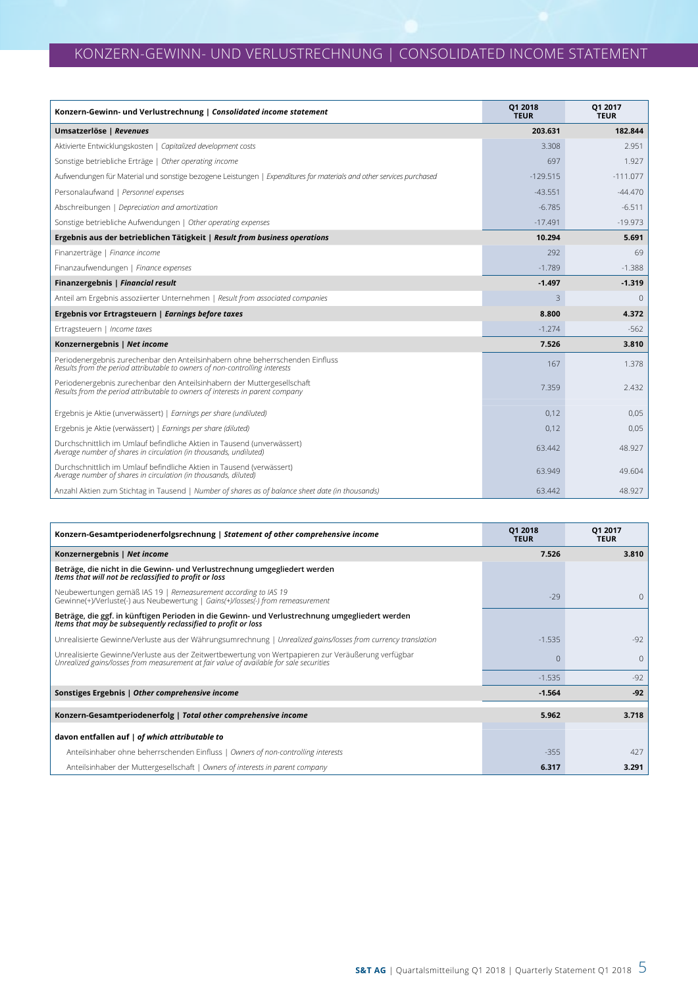# KONZERN-GEWINN- UND VERLUSTRECHNUNG | CONSOLIDATED INCOME STATEMENT

| Konzern-Gewinn- und Verlustrechnung   Consolidated income statement                                                                                          | Q1 2018<br><b>TEUR</b> | Q1 2017<br><b>TEUR</b> |
|--------------------------------------------------------------------------------------------------------------------------------------------------------------|------------------------|------------------------|
| Umsatzerlöse   Revenues                                                                                                                                      | 203.631                | 182.844                |
| Aktivierte Entwicklungskosten   Capitalized development costs                                                                                                | 3.308                  | 2.951                  |
| Sonstige betriebliche Erträge   Other operating income                                                                                                       | 697                    | 1.927                  |
| Aufwendungen für Material und sonstige bezogene Leistungen   Expenditures for materials and other services purchased                                         | $-129.515$             | $-111.077$             |
| Personalaufwand   Personnel expenses                                                                                                                         | $-43.551$              | $-44.470$              |
| Abschreibungen   Depreciation and amortization                                                                                                               | $-6.785$               | $-6.511$               |
| Sonstige betriebliche Aufwendungen   Other operating expenses                                                                                                | $-17.491$              | $-19.973$              |
| Ergebnis aus der betrieblichen Tätigkeit   Result from business operations                                                                                   | 10.294                 | 5.691                  |
| Finanzerträge   Finance income                                                                                                                               | 292                    | 69                     |
| Finanzaufwendungen   Finance expenses                                                                                                                        | $-1.789$               | $-1.388$               |
| Finanzergebnis   Financial result                                                                                                                            | $-1.497$               | $-1.319$               |
| Anteil am Ergebnis assoziierter Unternehmen   Result from associated companies                                                                               | $\overline{3}$         | $\Omega$               |
| Ergebnis vor Ertragsteuern   Earnings before taxes                                                                                                           | 8.800                  | 4.372                  |
| Ertragsteuern   Income taxes                                                                                                                                 | $-1.274$               | $-562$                 |
| Konzernergebnis   Net income                                                                                                                                 | 7.526                  | 3.810                  |
| Periodenergebnis zurechenbar den Anteilsinhabern ohne beherrschenden Einfluss<br>Results from the period attributable to owners of non-controlling interests | 167                    | 1.378                  |
| Periodenergebnis zurechenbar den Anteilsinhabern der Muttergesellschaft<br>Results from the period attributable to owners of interests in parent company     | 7.359                  | 2.432                  |
| Ergebnis je Aktie (unverwässert)   Earnings per share (undiluted)                                                                                            | 0.12                   | 0,05                   |
| Ergebnis je Aktie (verwässert)   Earnings per share (diluted)                                                                                                | 0,12                   | 0,05                   |
| Durchschnittlich im Umlauf befindliche Aktien in Tausend (unverwässert)<br>Average number of shares in circulation (in thousands, undiluted)                 | 63.442                 | 48.927                 |
| Durchschnittlich im Umlauf befindliche Aktien in Tausend (verwässert)<br>Average number of shares in circulation (in thousands, diluted)                     | 63.949                 | 49.604                 |
| Anzahl Aktien zum Stichtag in Tausend   Number of shares as of balance sheet date (in thousands)                                                             | 63.442                 | 48.927                 |

| Konzern-Gesamtperiodenerfolgsrechnung   Statement of other comprehensive income                                                                                                                | 01 2018<br><b>TEUR</b> | 01 2017<br><b>TEUR</b> |
|------------------------------------------------------------------------------------------------------------------------------------------------------------------------------------------------|------------------------|------------------------|
| Konzernergebnis   Net income                                                                                                                                                                   | 7.526                  | 3.810                  |
| Beträge, die nicht in die Gewinn- und Verlustrechnung umgegliedert werden<br>Items that will not be reclassified to profit or loss                                                             |                        |                        |
| Neubewertungen gemäß IAS 19   Remeasurement according to IAS 19<br>Gewinne(+)/Verluste(-) aus Neubewertung   Gains(+)/losses(-) from remeasurement                                             | $-29$                  |                        |
| Beträge, die ggf. in künftigen Perioden in die Gewinn- und Verlustrechnung umgegliedert werden<br>Items that may be subsequently reclassified to profit or loss                                |                        |                        |
| Unrealisierte Gewinne/Verluste aus der Währungsumrechnung   Unrealized gains/losses from currency translation                                                                                  | $-1.535$               | $-92$                  |
| Unrealisierte Gewinne/Verluste aus der Zeitwertbewertung von Wertpapieren zur Veräußerung verfügbar<br>Unrealized gains/losses from measurement at fair value of available for sale securities |                        |                        |
|                                                                                                                                                                                                | $-1.535$               | $-92$                  |
| Sonstiges Ergebnis   Other comprehensive income                                                                                                                                                | $-1.564$               | $-92$                  |
| Konzern-Gesamtperiodenerfolg   Total other comprehensive income                                                                                                                                | 5.962                  | 3.718                  |
| davon entfallen auf   of which attributable to                                                                                                                                                 |                        |                        |
| Anteilsinhaber ohne beherrschenden Einfluss   Owners of non-controlling interests                                                                                                              | $-355$                 | 427                    |
| Anteilsinhaber der Muttergesellschaft   Owners of interests in parent company                                                                                                                  | 6.317                  | 3.291                  |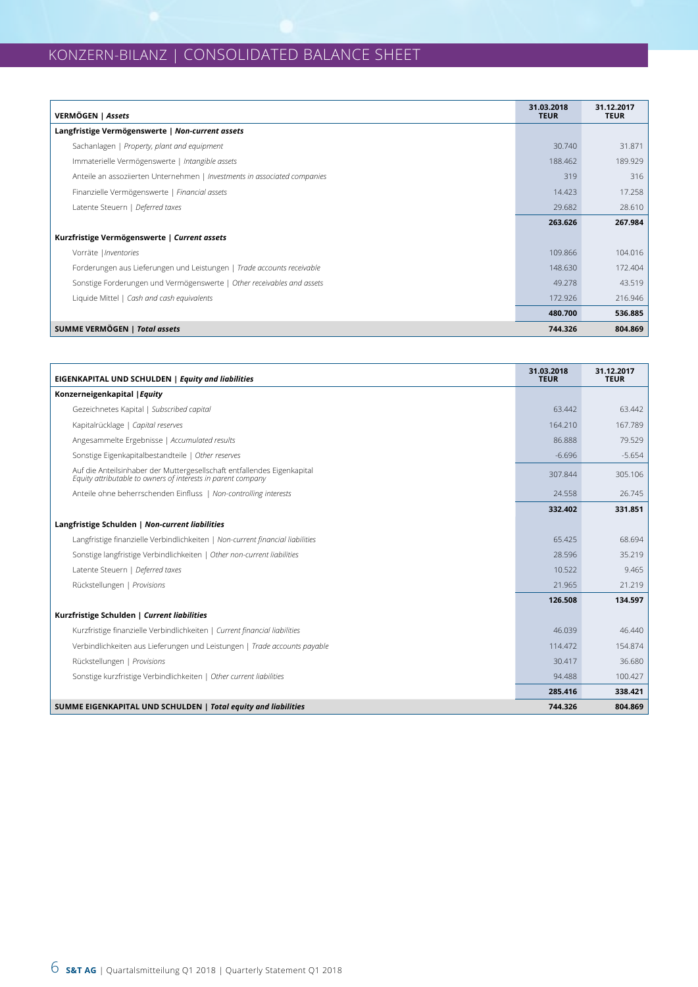# KONZERN-BILANZ | CONSOLIDATED BALANCE SHEET

| VERMÖGEN   Assets                                                         | 31.03.2018<br><b>TEUR</b> | 31.12.2017<br><b>TEUR</b> |
|---------------------------------------------------------------------------|---------------------------|---------------------------|
| Langfristige Vermögenswerte   Non-current assets                          |                           |                           |
| Sachanlagen   Property, plant and equipment                               | 30,740                    | 31.871                    |
| Immaterielle Vermögenswerte   Intangible assets                           | 188.462                   | 189.929                   |
| Anteile an assoziierten Unternehmen   Investments in associated companies | 319                       | 316                       |
| Finanzielle Vermögenswerte   Financial assets                             | 14.423                    | 17.258                    |
| Latente Steuern   Deferred taxes                                          | 29.682                    | 28.610                    |
|                                                                           | 263.626                   | 267.984                   |
| Kurzfristige Vermögenswerte   Current assets                              |                           |                           |
| Vorräte   Inventories                                                     | 109.866                   | 104.016                   |
| Forderungen aus Lieferungen und Leistungen   Trade accounts receivable    | 148,630                   | 172.404                   |
| Sonstige Forderungen und Vermögenswerte   Other receivables and assets    | 49.278                    | 43.519                    |
| Liquide Mittel   Cash and cash equivalents                                | 172.926                   | 216.946                   |
|                                                                           | 480.700                   | 536.885                   |
| SUMME VERMÖGEN   Total assets                                             | 744.326                   | 804.869                   |

| EIGENKAPITAL UND SCHULDEN   Equity and liabilities                                                                                      | 31.03.2018<br><b>TEUR</b> | 31.12.2017<br><b>TEUR</b> |
|-----------------------------------------------------------------------------------------------------------------------------------------|---------------------------|---------------------------|
| Konzerneigenkapital   Equity                                                                                                            |                           |                           |
| Gezeichnetes Kapital   Subscribed capital                                                                                               | 63.442                    | 63.442                    |
| Kapitalrücklage   Capital reserves                                                                                                      | 164.210                   | 167.789                   |
| Angesammelte Ergebnisse   Accumulated results                                                                                           | 86.888                    | 79.529                    |
| Sonstige Eigenkapitalbestandteile   Other reserves                                                                                      | $-6.696$                  | $-5.654$                  |
| Auf die Anteilsinhaber der Muttergesellschaft entfallendes Eigenkapital<br>Equity attributable to owners of interests in parent company | 307.844                   | 305.106                   |
| Anteile ohne beherrschenden Einfluss   Non-controlling interests                                                                        | 24.558                    | 26.745                    |
|                                                                                                                                         | 332.402                   | 331.851                   |
| Langfristige Schulden   Non-current liabilities                                                                                         |                           |                           |
| Langfristige finanzielle Verbindlichkeiten   Non-current financial liabilities                                                          | 65.425                    | 68.694                    |
| Sonstige langfristige Verbindlichkeiten   Other non-current liabilities                                                                 | 28.596                    | 35.219                    |
| Latente Steuern   Deferred taxes                                                                                                        | 10.522                    | 9.465                     |
| Rückstellungen   Provisions                                                                                                             | 21.965                    | 21.219                    |
|                                                                                                                                         | 126.508                   | 134.597                   |
| Kurzfristige Schulden   Current liabilities                                                                                             |                           |                           |
| Kurzfristige finanzielle Verbindlichkeiten   Current financial liabilities                                                              | 46.039                    | 46.440                    |
| Verbindlichkeiten aus Lieferungen und Leistungen   Trade accounts payable                                                               | 114.472                   | 154.874                   |
| Rückstellungen   Provisions                                                                                                             | 30.417                    | 36.680                    |
| Sonstige kurzfristige Verbindlichkeiten   Other current liabilities                                                                     | 94.488                    | 100.427                   |
|                                                                                                                                         | 285.416                   | 338.421                   |
| SUMME EIGENKAPITAL UND SCHULDEN   Total equity and liabilities                                                                          | 744.326                   | 804.869                   |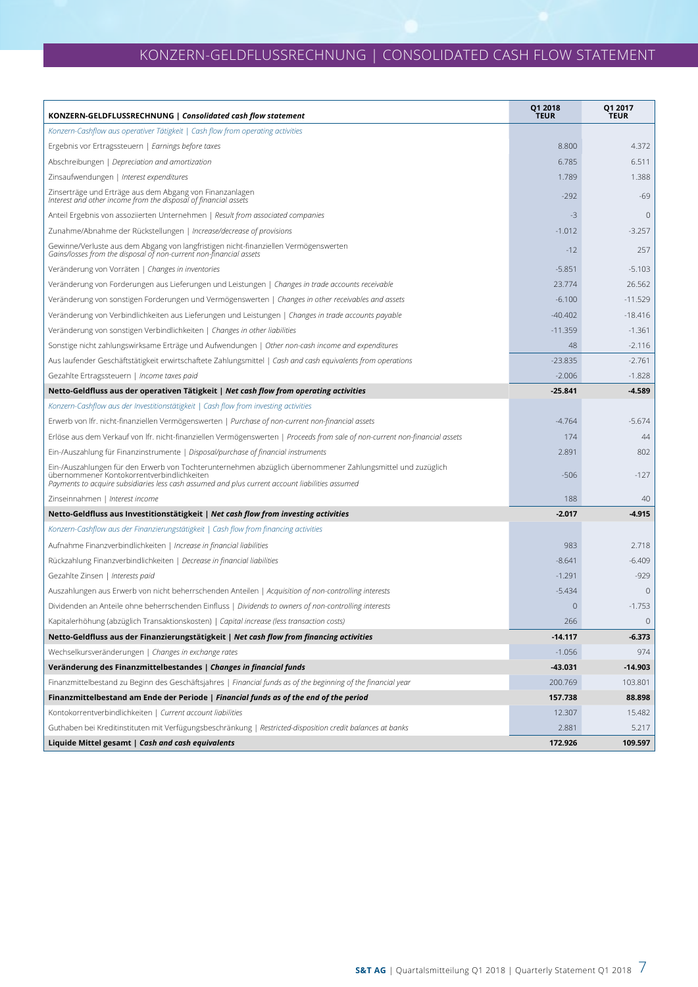# KONZERN-GELDFLUSSRECHNUNG | CONSOLIDATED CASH FLOW STATEMENT

| KONZERN-GELDFLUSSRECHNUNG   Consolidated cash flow statement                                                                                                                                                                                                 | Q1 2018<br><b>TEUR</b> | Q1 2017<br><b>TEUR</b> |
|--------------------------------------------------------------------------------------------------------------------------------------------------------------------------------------------------------------------------------------------------------------|------------------------|------------------------|
| Konzern-Cashflow aus operativer Tätigkeit   Cash flow from operating activities                                                                                                                                                                              |                        |                        |
| Ergebnis vor Ertragssteuern   Earnings before taxes                                                                                                                                                                                                          | 8.800                  | 4.372                  |
| Abschreibungen   Depreciation and amortization                                                                                                                                                                                                               | 6.785                  | 6.511                  |
| Zinsaufwendungen   Interest expenditures                                                                                                                                                                                                                     | 1.789                  | 1.388                  |
| Zinserträge und Erträge aus dem Abgang von Finanzanlagen<br>Interest and other income from the disposal of financial assets                                                                                                                                  | $-292$                 | $-69$                  |
| Anteil Ergebnis von assoziierten Unternehmen   Result from associated companies                                                                                                                                                                              | $-3$                   | $\mathbf{0}$           |
| Zunahme/Abnahme der Rückstellungen   Increase/decrease of provisions                                                                                                                                                                                         | $-1.012$               | $-3.257$               |
| Gewinne/Verluste aus dem Abgang von langfristigen nicht-finanziellen Vermögenswerten<br>Gains/losses from the disposal of non-current non-financial assets                                                                                                   | $-12$                  | 257                    |
| Veränderung von Vorräten   Changes in inventories                                                                                                                                                                                                            | $-5.851$               | $-5.103$               |
| Veränderung von Forderungen aus Lieferungen und Leistungen   Changes in trade accounts receivable                                                                                                                                                            | 23.774                 | 26.562                 |
| Veränderung von sonstigen Forderungen und Vermögenswerten   Changes in other receivables and assets                                                                                                                                                          | $-6.100$               | $-11.529$              |
| Veränderung von Verbindlichkeiten aus Lieferungen und Leistungen   Changes in trade accounts payable                                                                                                                                                         | $-40.402$              | $-18.416$              |
| Veränderung von sonstigen Verbindlichkeiten   Changes in other liabilities                                                                                                                                                                                   | $-11.359$              | $-1.361$               |
| Sonstige nicht zahlungswirksame Erträge und Aufwendungen   Other non-cash income and expenditures                                                                                                                                                            | 48                     | $-2.116$               |
| Aus laufender Geschäftstätigkeit erwirtschaftete Zahlungsmittel   Cash and cash equivalents from operations                                                                                                                                                  | $-23.835$              | $-2.761$               |
| Gezahlte Ertragssteuern   Income taxes paid                                                                                                                                                                                                                  | $-2.006$               | $-1.828$               |
| Netto-Geldfluss aus der operativen Tätigkeit   Net cash flow from operating activities                                                                                                                                                                       | $-25.841$              | $-4.589$               |
| Konzern-Cashflow aus der Investitionstätigkeit   Cash flow from investing activities                                                                                                                                                                         |                        |                        |
| Erwerb von Ifr. nicht-finanziellen Vermögenswerten   Purchase of non-current non-financial assets                                                                                                                                                            | $-4.764$               | $-5.674$               |
| Erlöse aus dem Verkauf von Ifr. nicht-finanziellen Vermögenswerten   Proceeds from sale of non-current non-financial assets                                                                                                                                  | 174                    | 44                     |
| Ein-/Auszahlung für Finanzinstrumente   Disposal/purchase of financial instruments                                                                                                                                                                           | 2.891                  | 802                    |
| Ein-/Auszahlungen für den Erwerb von Tochterunternehmen abzüglich übernommener Zahlungsmittel und zuzüglich<br>übernommener Kontokorrentverbindlichkeiten<br>Payments to acquire subsidiaries less cash assumed and plus current account liabilities assumed | $-506$                 | $-127$                 |
| Zinseinnahmen   Interest income                                                                                                                                                                                                                              | 188                    | 40                     |
| Netto-Geldfluss aus Investitionstätigkeit   Net cash flow from investing activities                                                                                                                                                                          | $-2.017$               | $-4.915$               |
| Konzern-Cashflow aus der Finanzierungstätigkeit   Cash flow from financing activities                                                                                                                                                                        |                        |                        |
| Aufnahme Finanzverbindlichkeiten   Increase in financial liabilities                                                                                                                                                                                         | 983                    | 2.718                  |
| Rückzahlung Finanzverbindlichkeiten   Decrease in financial liabilities                                                                                                                                                                                      | $-8.641$               | $-6.409$               |
| Gezahlte Zinsen   Interests paid                                                                                                                                                                                                                             | $-1.291$               | $-929$                 |
| Auszahlungen aus Erwerb von nicht beherrschenden Anteilen   Acquisition of non-controlling interests                                                                                                                                                         | $-5.434$               | $\mathbf 0$            |
| Dividenden an Anteile ohne beherrschenden Einfluss   Dividends to owners of non-controlling interests                                                                                                                                                        | 0                      | $-1.753$               |
| Kapitalerhöhung (abzüglich Transaktionskosten)   Capital increase (less transaction costs)                                                                                                                                                                   | 266                    | $\mathbf 0$            |
| Netto-Geldfluss aus der Finanzierungstätigkeit   Net cash flow from financing activities                                                                                                                                                                     | $-14.117$              | $-6.373$               |
| Wechselkursveränderungen   Changes in exchange rates                                                                                                                                                                                                         | $-1.056$               | 974                    |
| Veränderung des Finanzmittelbestandes   Changes in financial funds                                                                                                                                                                                           | -43.031                | $-14.903$              |
| Finanzmittelbestand zu Beginn des Geschäftsjahres   Financial funds as of the beginning of the financial year                                                                                                                                                | 200.769                | 103.801                |
| Finanzmittelbestand am Ende der Periode   Financial funds as of the end of the period                                                                                                                                                                        | 157.738                | 88.898                 |
| Kontokorrentverbindlichkeiten   Current account liabilities                                                                                                                                                                                                  | 12.307                 | 15.482                 |
| Guthaben bei Kreditinstituten mit Verfügungsbeschränkung   Restricted-disposition credit balances at banks                                                                                                                                                   | 2.881                  | 5.217                  |
| Liquide Mittel gesamt   Cash and cash equivalents                                                                                                                                                                                                            | 172.926                | 109.597                |
|                                                                                                                                                                                                                                                              |                        |                        |